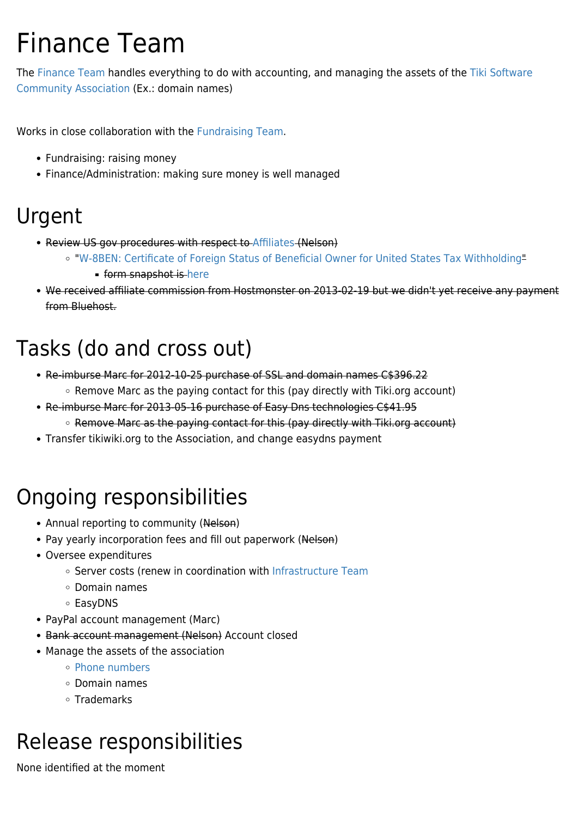# Finance Team

The [Finance Team](https://tiki.org/Finance-Team) handles everything to do with accounting, and managing the assets of the [Tiki Software](https://tiki.org/Tiki-Software-Community-Association) [Community Association](https://tiki.org/Tiki-Software-Community-Association) (Ex.: domain names)

Works in close collaboration with the [Fundraising Team.](https://tiki.org/Fundraising-Team)

- Fundraising: raising money
- Finance/Administration: making sure money is well managed

#### Urgent

- Review US gov procedures with respect to [Affiliates](https://tiki.org/Affiliates) (Nelson)
	- "[W-8BEN: Certificate of Foreign Status of Beneficial Owner for United States Tax Withholding"](http://www.irs.gov/pub/irs-pdf/iw8ben.pdf)
		- **form snapshot is [here](https://tiki.org/tiki-download_wiki_attachment.php?attId=802&download=y)**
- We received affiliate commission from Hostmonster on 2013-02-19 but we didn't yet receive any payment from Bluehost.

#### Tasks (do and cross out)

- Re-imburse Marc for 2012-10-25 purchase of SSL and domain names C\$396.22
	- $\circ$  Remove Marc as the paying contact for this (pay directly with Tiki.org account)
- Re-imburse Marc for 2013-05-16 purchase of Easy Dns technologies C\$41.95 ○ Remove Marc as the paying contact for this (pay directly with Tiki.org account)
- Transfer tikiwiki.org to the Association, and change easydns payment

#### Ongoing responsibilities

- Annual reporting to community (Nelson)
- Pay yearly incorporation fees and fill out paperwork (Nelson)
- Oversee expenditures
	- Server costs (renew in coordination with [Infrastructure Team](https://tiki.org/Infrastructure-Team)
	- Domain names
	- EasyDNS
- PayPal account management (Marc)
- Bank account management (Nelson) Account closed
- Manage the assets of the association
	- [Phone numbers](http://branding.tiki.org/Phone%20numbers)
	- Domain names
	- Trademarks

#### Release responsibilities

None identified at the moment